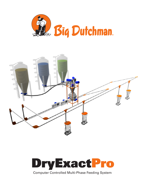